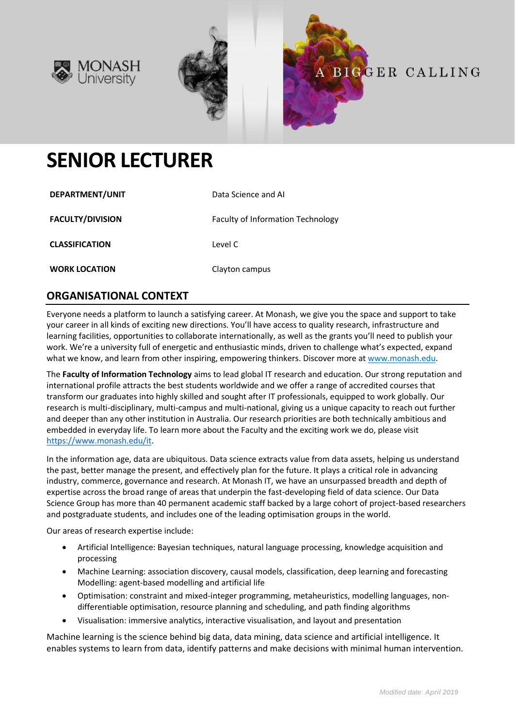





# **SENIOR LECTURER**

| DEPARTMENT/UNIT         | Data Science and AI                      |
|-------------------------|------------------------------------------|
| <b>FACULTY/DIVISION</b> | <b>Faculty of Information Technology</b> |
| <b>CLASSIFICATION</b>   | Level C                                  |
| <b>WORK LOCATION</b>    | Clayton campus                           |

## **ORGANISATIONAL CONTEXT**

Everyone needs a platform to launch a satisfying career. At Monash, we give you the space and support to take your career in all kinds of exciting new directions. You'll have access to quality research, infrastructure and learning facilities, opportunities to collaborate internationally, as well as the grants you'll need to publish your work. We're a university full of energetic and enthusiastic minds, driven to challenge what's expected, expand what we know, and learn from other inspiring, empowering thinkers. Discover more a[t www.monash.edu.](http://www.monash.edu/)

The **Faculty of Information Technology** aims to lead global IT research and education. Our strong reputation and international profile attracts the best students worldwide and we offer a range of accredited courses that transform our graduates into highly skilled and sought after IT professionals, equipped to work globally. Our research is multi-disciplinary, multi-campus and multi-national, giving us a unique capacity to reach out further and deeper than any other institution in Australia. Our research priorities are both technically ambitious and embedded in everyday life. To learn more about the Faculty and the exciting work we do, please visit [https://www.monash.edu/it.](https://www.monash.edu/it)

In the information age, data are ubiquitous. Data science extracts value from data assets, helping us understand the past, better manage the present, and effectively plan for the future. It plays a critical role in advancing industry, commerce, governance and research. At Monash IT, we have an unsurpassed breadth and depth of expertise across the broad range of areas that underpin the fast-developing field of data science. Our Data Science Group has more than 40 permanent academic staff backed by a large cohort of project-based researchers and postgraduate students, and includes one of the leading optimisation groups in the world.

Our areas of research expertise include:

- Artificial Intelligence: Bayesian techniques, natural language processing, knowledge acquisition and processing
- Machine Learning: association discovery, causal models, classification, deep learning and forecasting Modelling: agent-based modelling and artificial life
- Optimisation: constraint and mixed-integer programming, metaheuristics, modelling languages, nondifferentiable optimisation, resource planning and scheduling, and path finding algorithms
- Visualisation: immersive analytics, interactive visualisation, and layout and presentation

Machine learning is the science behind big data, data mining, data science and artificial intelligence. It enables systems to learn from data, identify patterns and make decisions with minimal human intervention.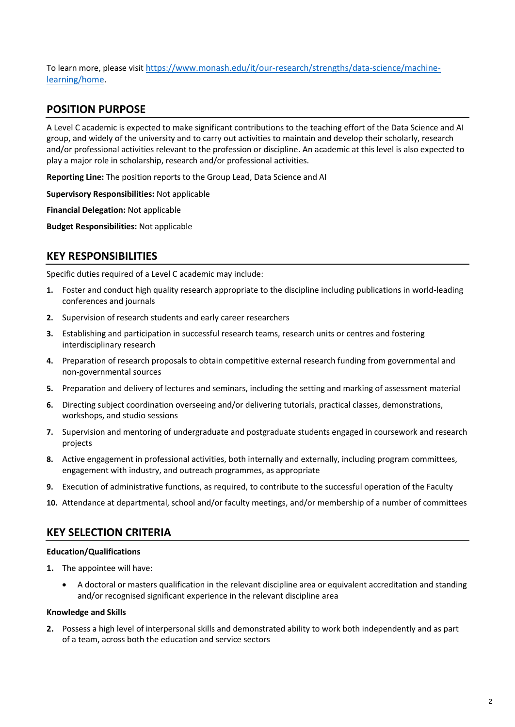To learn more, please visit [https://www.monash.edu/it/our-research/strengths/data-science/machine](https://www.monash.edu/it/our-research/strengths/data-science/machine-learning/home)[learning/home.](https://www.monash.edu/it/our-research/strengths/data-science/machine-learning/home)

#### **POSITION PURPOSE**

A Level C academic is expected to make significant contributions to the teaching effort of the Data Science and AI group, and widely of the university and to carry out activities to maintain and develop their scholarly, research and/or professional activities relevant to the profession or discipline. An academic at this level is also expected to play a major role in scholarship, research and/or professional activities.

**Reporting Line:** The position reports to the Group Lead, Data Science and AI

**Supervisory Responsibilities:** Not applicable

**Financial Delegation:** Not applicable

**Budget Responsibilities:** Not applicable

#### **KEY RESPONSIBILITIES**

Specific duties required of a Level C academic may include:

- **1.** Foster and conduct high quality research appropriate to the discipline including publications in world-leading conferences and journals
- **2.** Supervision of research students and early career researchers
- **3.** Establishing and participation in successful research teams, research units or centres and fostering interdisciplinary research
- **4.** Preparation of research proposals to obtain competitive external research funding from governmental and non-governmental sources
- **5.** Preparation and delivery of lectures and seminars, including the setting and marking of assessment material
- **6.** Directing subject coordination overseeing and/or delivering tutorials, practical classes, demonstrations, workshops, and studio sessions
- **7.** Supervision and mentoring of undergraduate and postgraduate students engaged in coursework and research projects
- **8.** Active engagement in professional activities, both internally and externally, including program committees, engagement with industry, and outreach programmes, as appropriate
- **9.** Execution of administrative functions, as required, to contribute to the successful operation of the Faculty
- **10.** Attendance at departmental, school and/or faculty meetings, and/or membership of a number of committees

#### **KEY SELECTION CRITERIA**

#### **Education/Qualifications**

- **1.** The appointee will have:
	- A doctoral or masters qualification in the relevant discipline area or equivalent accreditation and standing and/or recognised significant experience in the relevant discipline area

#### **Knowledge and Skills**

**2.** Possess a high level of interpersonal skills and demonstrated ability to work both independently and as part of a team, across both the education and service sectors